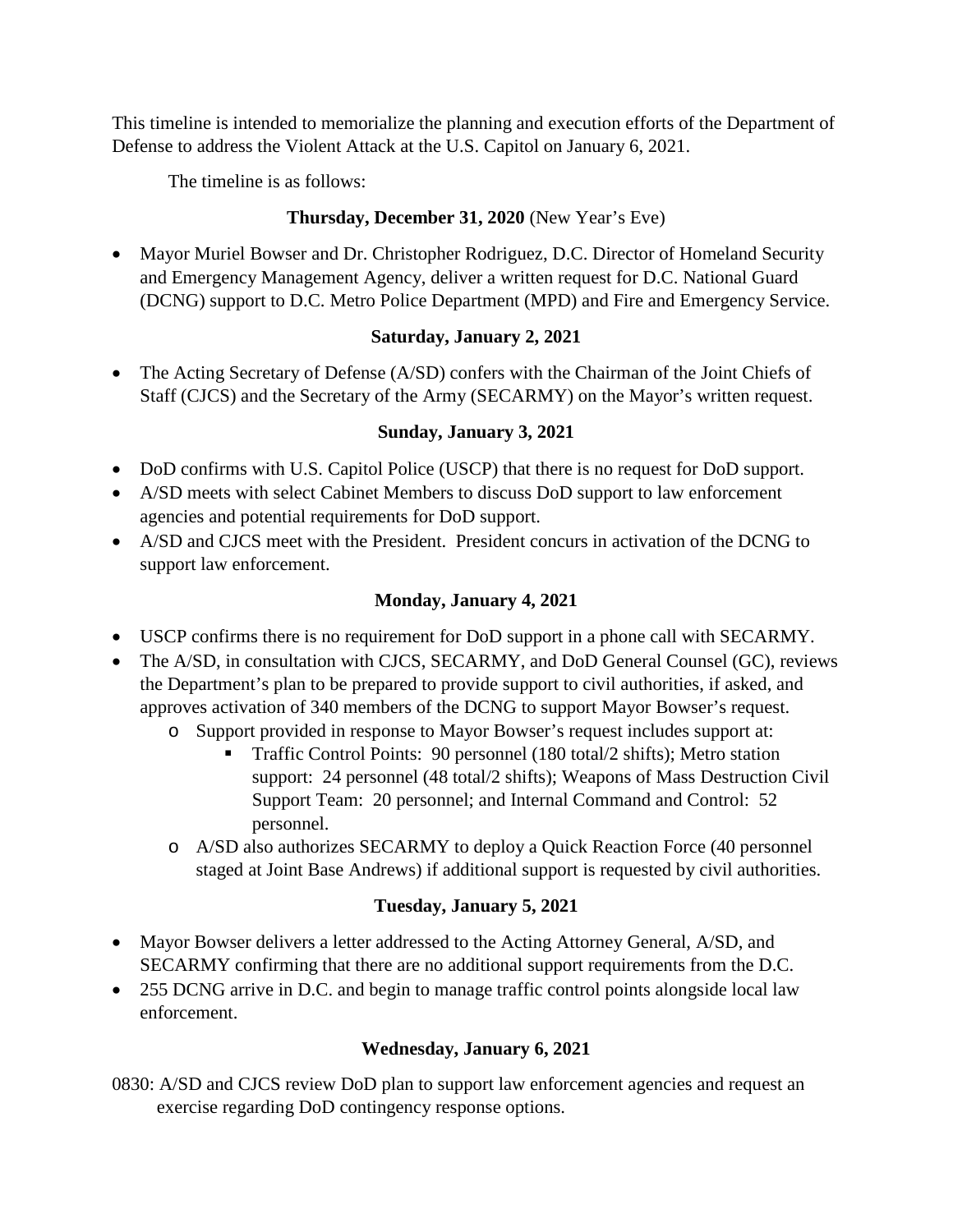This timeline is intended to memorialize the planning and execution efforts of the Department of Defense to address the Violent Attack at the U.S. Capitol on January 6, 2021.

The timeline is as follows:

## **Thursday, December 31, 2020** (New Year's Eve)

• Mayor Muriel Bowser and Dr. Christopher Rodriguez, D.C. Director of Homeland Security and Emergency Management Agency, deliver a written request for D.C. National Guard (DCNG) support to D.C. Metro Police Department (MPD) and Fire and Emergency Service.

### **Saturday, January 2, 2021**

• The Acting Secretary of Defense (A/SD) confers with the Chairman of the Joint Chiefs of Staff (CJCS) and the Secretary of the Army (SECARMY) on the Mayor's written request.

### **Sunday, January 3, 2021**

- DoD confirms with U.S. Capitol Police (USCP) that there is no request for DoD support.
- A/SD meets with select Cabinet Members to discuss DoD support to law enforcement agencies and potential requirements for DoD support.
- A/SD and CJCS meet with the President. President concurs in activation of the DCNG to support law enforcement.

### **Monday, January 4, 2021**

- USCP confirms there is no requirement for DoD support in a phone call with SECARMY.
- The A/SD, in consultation with CJCS, SECARMY, and DoD General Counsel (GC), reviews the Department's plan to be prepared to provide support to civil authorities, if asked, and approves activation of 340 members of the DCNG to support Mayor Bowser's request.
	- o Support provided in response to Mayor Bowser's request includes support at:
		- Traffic Control Points: 90 personnel (180 total/2 shifts); Metro station support: 24 personnel (48 total/2 shifts); Weapons of Mass Destruction Civil Support Team: 20 personnel; and Internal Command and Control: 52 personnel.
	- o A/SD also authorizes SECARMY to deploy a Quick Reaction Force (40 personnel staged at Joint Base Andrews) if additional support is requested by civil authorities.

# **Tuesday, January 5, 2021**

- Mayor Bowser delivers a letter addressed to the Acting Attorney General, A/SD, and SECARMY confirming that there are no additional support requirements from the D.C.
- 255 DCNG arrive in D.C. and begin to manage traffic control points alongside local law enforcement.

# **Wednesday, January 6, 2021**

0830: A/SD and CJCS review DoD plan to support law enforcement agencies and request an exercise regarding DoD contingency response options.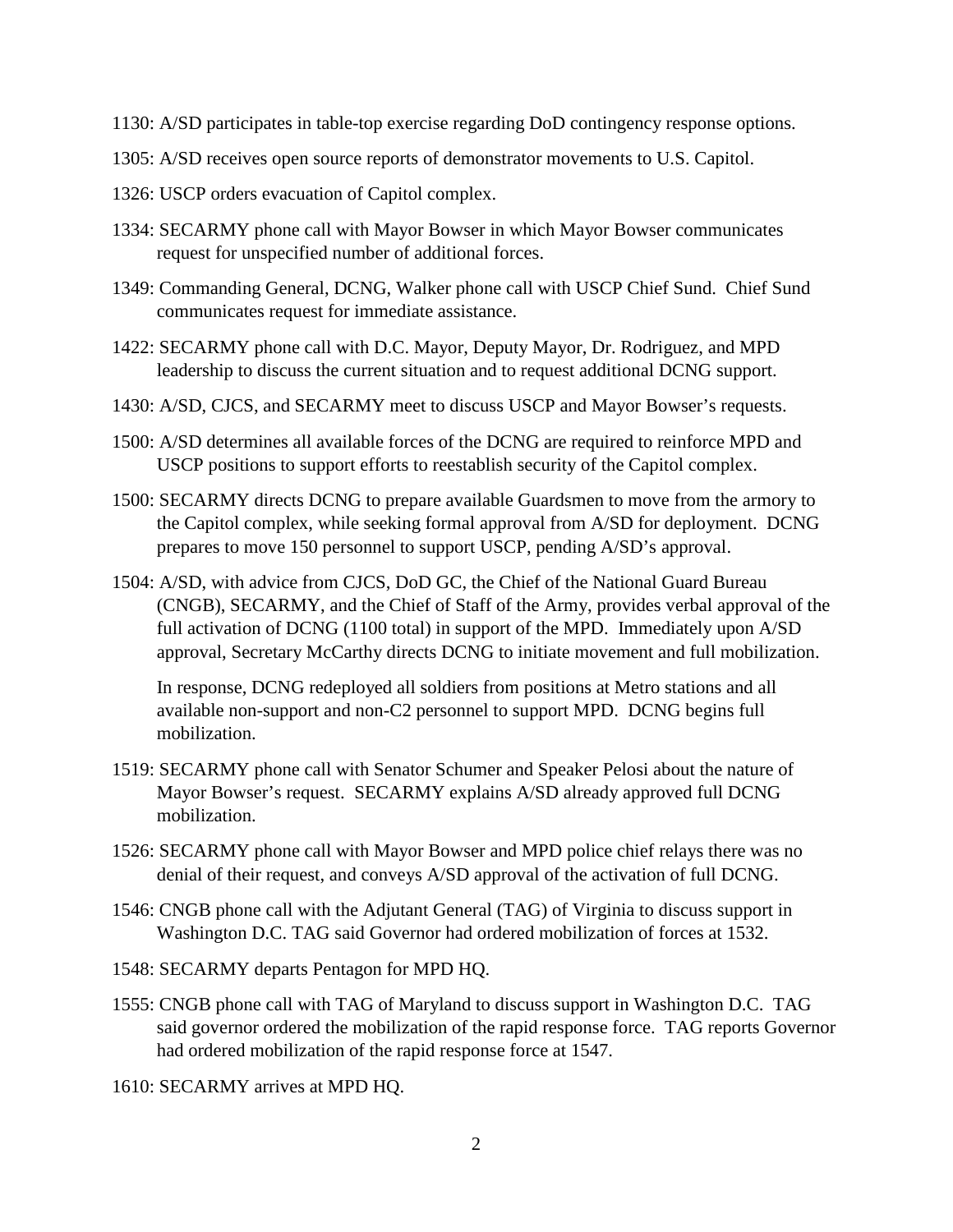- 1130: A/SD participates in table-top exercise regarding DoD contingency response options.
- 1305: A/SD receives open source reports of demonstrator movements to U.S. Capitol.
- 1326: USCP orders evacuation of Capitol complex.
- 1334: SECARMY phone call with Mayor Bowser in which Mayor Bowser communicates request for unspecified number of additional forces.
- 1349: Commanding General, DCNG, Walker phone call with USCP Chief Sund. Chief Sund communicates request for immediate assistance.
- 1422: SECARMY phone call with D.C. Mayor, Deputy Mayor, Dr. Rodriguez, and MPD leadership to discuss the current situation and to request additional DCNG support.
- 1430: A/SD, CJCS, and SECARMY meet to discuss USCP and Mayor Bowser's requests.
- 1500: A/SD determines all available forces of the DCNG are required to reinforce MPD and USCP positions to support efforts to reestablish security of the Capitol complex.
- 1500: SECARMY directs DCNG to prepare available Guardsmen to move from the armory to the Capitol complex, while seeking formal approval from A/SD for deployment. DCNG prepares to move 150 personnel to support USCP, pending A/SD's approval.
- 1504: A/SD, with advice from CJCS, DoD GC, the Chief of the National Guard Bureau (CNGB), SECARMY, and the Chief of Staff of the Army, provides verbal approval of the full activation of DCNG (1100 total) in support of the MPD. Immediately upon A/SD approval, Secretary McCarthy directs DCNG to initiate movement and full mobilization.

In response, DCNG redeployed all soldiers from positions at Metro stations and all available non-support and non-C2 personnel to support MPD. DCNG begins full mobilization.

- 1519: SECARMY phone call with Senator Schumer and Speaker Pelosi about the nature of Mayor Bowser's request. SECARMY explains A/SD already approved full DCNG mobilization.
- 1526: SECARMY phone call with Mayor Bowser and MPD police chief relays there was no denial of their request, and conveys A/SD approval of the activation of full DCNG.
- 1546: CNGB phone call with the Adjutant General (TAG) of Virginia to discuss support in Washington D.C. TAG said Governor had ordered mobilization of forces at 1532.
- 1548: SECARMY departs Pentagon for MPD HQ.
- 1555: CNGB phone call with TAG of Maryland to discuss support in Washington D.C. TAG said governor ordered the mobilization of the rapid response force. TAG reports Governor had ordered mobilization of the rapid response force at 1547.

1610: SECARMY arrives at MPD HQ.